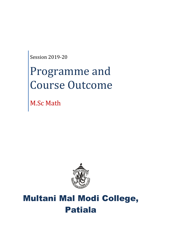Session 2019-20

# Programme and Course Outcome

M.Sc Math



## Multani Mal Modi College, Patiala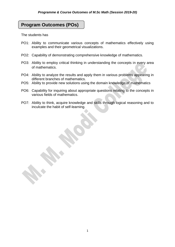### **Program Outcomes (POs)**

The students has

- PO1: Ability to communicate various concepts of mathematics effectively using examples and their geometrical visualizations.
- PO2: Capability of demonstrating comprehensive knowledge of mathematics.
- PO3: Ability to employ critical thinking in understanding the concepts in every area of mathematics.
- PO4: Ability to analyze the results and apply them in various problems appearing in different branches of mathematics.
- PO5: Ability to provide new solutions using the domain knowledge of mathematics
- PO6: Capability for inquiring about appropriate questions relating to the concepts in various fields of mathematics.
- PO7: Ability to think, acquire knowledge and skills through logical reasoning and to inculcate the habit of self-learning.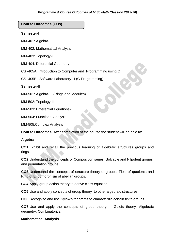**Course Outcomes (COs)**

#### **Semester-I**

MM-401: Algebra-I

MM-402: Mathematical Analysis

MM-403: Topology-I

MM-404: Differential Geometry

CS -405A: Introduction to Computer and Programming using C

CS -405B: Software Laboratory –I (C-Programming)

#### **Semester-II**

MM-501: Algebra- II (Rings and Modules)

MM-502: Topology-II

MM-503: Differential Equations-I

MM-504: Functional Analysis

MM-505:Complex Analysis

**Course Outcomes**: After completion of the course the student will be able to:

#### **Algebra-I**

**CO1**:Exhibit and recall the previous learning of algebraic structures groups and rings.

**CO2:**Understand the concepts of Composition series, Solvable and Nilpotent groups, and permutation groups.

**CO3:**Understand the concepts of structure theory of groups, Field of quotients and Ring of Endomorphism of abelian groups.

**CO4:**Apply group action theory to derive class equation.

**CO5:**Use and apply concepts of group theory to other algebraic structures.

**CO6:**Recognize and use Sylow's theorems to characterize certain finite groups

**CO7:**Use and apply the concepts of group theory in Galois theory, Algebraic geometry, Combinatorics.

#### **Mathematical Analysis**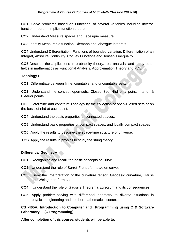#### *Programme & Course Outcomes of M.Sc Math (Session 2019-20)*

**CO1:** Solve problems based on Functional of several variables including Inverse function theorem, Implicit function theorem.

**CO2:** Understand Measure spaces and Lebesgue measure

**CO3:**Identify Measurable function ,Riemann and lebesgue integrals.

**CO4:**Understand Differentiation ,Functions of bounded variation, Differentiation of an Integral, Absolute Continuity, Convex Functions and Jensen's inequality.

**CO5:**Describe the applications in probability theory, real analysis, and many other fields in mathematics as Functional Analysis, Approximation Theory and PDE.

#### **Topology-I**

**CO1:** Differentiate between finite, countable, and uncountable sets.

**CO2:** Understand the concept open-sets; Closed Set; Nhd of a point; Interior & Exterior points.

**CO3:** Determine and construct Topology by the collection of open-Closed sets or on the basis of nhd at each point.

**CO4:** Understand the basic properties of connected spaces.

**CO5:** Understand basic properties of compact spaces, and locally compact spaces

**CO6:** Apply the results to describe the space-time structure of universe.

**CO7:**Apply the results in physics to study the string theory.

#### **Differential Geometry**

- **CO1**: Recoganise and recall the basic concepts of Curve.
- **CO2:** Understand the role of Serret-Frenet formulae on curves.
- **CO3:** Know the Interpretation of the curvature tensor, Geodesic curvature, Gauss and Weingarten formulae.
- **CO4:** Understand the role of Gauss's Theorema Egregium and its consequences.
- **CO5:** Apply problem-solving with differential geometry to diverse situations in physics, engineering and in other mathematical contexts.

**CS -405A: Introduction to Computer and Programming using C & Software Laboratory –I (C-Programming)**

**After completion of this course, students will be able to:**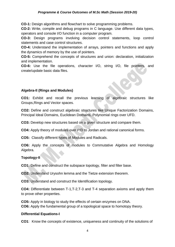#### *Programme & Course Outcomes of M.Sc Math (Session 2019-20)*

**CO-1:** Design algorithms and flowchart to solve programming problems.

**CO-2:** Write, compile and debug programs in C language. Use different data types, operators and console I/O function in a computer program.

**CO-3:** Design programs involving decision control statements, loop control statements and case control structures.

**CO-4:** Understand the implementation of arrays, pointers and functions and apply the dynamics of memory by the use of pointers.

**CO-5:** Comprehend the concepts of structures and union: declaration, initialization and implementation.

**CO-6:** Use the file operations, character I/O, string I/O, file pointers, and create/update basic data files.

#### **Algebra-II (Rings and Modules)**

**CO1:** Exhibit and recall the previous learning of algebraic structures like Groups,Rings and Vector spaces.

**CO2:** Define and construct algebraic structures like Unique Factorization Domains, Principal Ideal Domains, Euclidean Domains, Polynomial rings over UFD.

**CO3:** Develop new structures based on a given structure and compare them.

**CO4:** Apply theory of modules over PID to Jordan and rational canonical forms.

**CO5:** Classify different types of Modules and Radicals.

**CO6:** Apply the concepts of modules to Commutative Algebra and Homology Algebra.

#### **Topology-II**

**CO1:** Define and construct the subspace topology, filter and filter base.

**CO2:** Understand Urysohn lemma and the Tietze extension theorem.

**CO3:** Understand and construct the Identification topology.

**CO4:** Differentiate between T-1,T-2,T-3 and T-4 separation axioms and apply them to prove other properties.

**CO5:** Apply in biology to study the effects of certain enzymes on DNA. **CO6:** Apply the fundamental group of a topological space to homotopy theory.

#### **Differential Equations-I**

**CO1**: Know the concepts of existence, uniqueness and continuity of the solutions of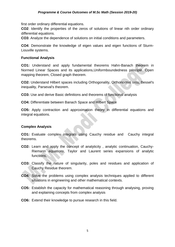first order ordinary differential equations.

**CO2**: Identify the properties of the zeros of solutions of linear nth order ordinary differential equations.

**CO3**: Analyze the dependence of solutions on initial conditions and parameters.

**CO4**: Demonstrate the knowledge of eigen values and eigen functions of Sturm-Liouville systems.

#### **Functional Analysis**

**CO1:** Understand and apply fundamental theorems Hahn-Banach theorem in Normed Linear Spaces and its applications,Uniformboundedness principle, Open mapping theorem, Closed graph theorem.

**CO2:** Understand Hilbert spaces including Orthogonality, Orthonormal sets, Bessel's inequality, Parseval's theorem.

**CO3:** Use and derive Basic definitions and theorems of functional analysis

**CO4:** Differentiate between Banach Space and Hilbert Space

**CO5:** Apply contraction and approximation theory in differential equations and integral equations.

#### **Complex Analysis**

**CO1:** Evaluate complex integrals using Cauchy residue and Cauchy integral theorems.

- **CO2:** Learn and apply the concept of analyticity , analytic continuation, Cauchy-Riemann equations, Taylor and Laurent series expansions of analytic functions,
- **CO3:** Classify the nature of singularity, poles and residues and application of Cauchy Residue theorem.
- **CO4:** Solve the problems using complex analysis techniques applied to different situations in engineering and other mathematical contexts.
- **CO5:** Establish the capacity for mathematical reasoning through analysing, proving and explaining concepts from complex analysis
- **CO6:** Extend their knowledge to pursue research in this field.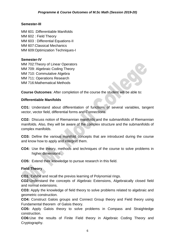#### **Semester-III**

MM 601 :Differentiable Manifolds MM 602 : Field Theory MM 603 : Differential Equations-II MM 607:Classical Mechanics MM 609: Optimization Techniques-I

#### **Semester-IV**

MM 702:Theory of Linear Operators MM 709: Algebraic Coding Theory MM 710: Commutative Algebra MM 711: Operations Research MM 716:Mathematical Methods

**Course Outcomes**: After completion of the course the student will be able to:

#### **Differentiable Manifolds**

**CO1:** Understand about differentiation of functions of several variables, tangent vector, vector field, differential forms and Connections.

**CO2:** DIscuss notion of Riemannian manifolds and the submanifolds of Riemannian manifolds. Also, they will be aware of the complex structure and the submanifolds of complex manifolds.

**CO3:** Define the various manifold concepts that are introduced during the course and know how to apply and interpret them.

**CO4:** Use the theory, methods and techniques of the course to solve problems in higher dimensions .

**CO5:** Extend their knowledge to pursue research in this field.

#### **Field Theory**

**CO1:** Exhibit and recall the previos learning of Polynomial rings.

**CO2:**Understand the concepts of Algebraic Extensions, Algebraically closed field and normal extensions.

**CO3:** Apply the knowledge of field theory to solve problems related to algebraic and geometric construction.

**CO4:** Construct Galois groups and Connect Group theory and Field theory using Fundamental theorem of Galois theory.

**CO5:** Apply Galois theory to solve problems in Compass and Straightedge construction.

**CO6:**Use the results of Finite Field theory in Algebraic Coding Theory and Cryptography.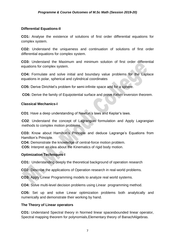#### **Differential Equations-II**

**CO1:** Analyse the existence of solutions of first order differential equations for complex system.

**CO2:** Understand the uniqueness and continuation of solutions of first order differential equations for complex system.

**CO3:** Understand the Maximum and minimum solution of first order differential equations for complex system.

**CO4:** Formulate and solve initial and boundary value problems for the Laplace equations in polar, spherical and cylindrical coordinates

**CO5:** Derive Dirichlet's problem for semi-infinite space and for a sphere.

**CO6:** Derive the family of Equipotential surface and prove Kelvin inversion theorem.

#### **Classical Mechanics-I**

**CO1**: Have a deep understanding of Newton's laws and Keplar's laws.

**CO2**: Understand the concept of Lagrangian formulation and Apply Lagrangian methods to complex motion problems.

**CO3:** Know about Hamilton's Principle and deduce Lagrange's Equations from Hamilton's Principle.

**CO4:** Demonstrate the knowledge of central-force motion problem.

**CO5:** Interpret an idea about the Kinematics of rigid body motion.

#### **Optimization Techniques-I**

**CO1:** Understanding deeply the theoretical background of operation research

**CO2:** Describe the applications of Operation research in real-world problems.

**CO3:** Apply Linear Programming models to analyze real world systems.

**CO4:** Solve multi-level decision problems using Linear programming method.

**CO5:** Set up and solve Linear optimization problems both analytically and numerically and demonstrate their working by hand.

#### **The Theory of Linear operators**

**CO1:** Understand Spectral theory in Normed linear spacesbounded linear operator, Spectral mapping theorem for polynomials,Elementary theory of BanachAlgebras.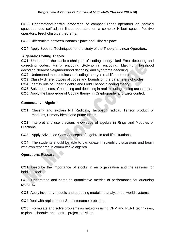**CO2:** UndersatandSpectral properties of compact linear operators on normed spacebounded self-adjoint linear operators on a complex Hilbert space. Positive operators, Fredholm type theorems.

**CO3:** Differentiate between Banach Space and Hilbert Space

**CO4:** Apply Spectral Techniques for the study of the Theory of Linear Operators.

#### **Algebraic Coding Theory**

**CO1:** Understand the basic techniques of coding theory liked Error detecting and correcting codes, Matrix encoding ,Polynomial encoding, Maximum likelihood decoding,Nearest Neighbourhood decoding and syndrome decoding.

**CO2:** Understand the usefulness of coding theory in real life problems

**CO3:** Classify different types of codes and bounds on the parameters of codes.

**CO4:** Identify role of Linear algebra and Field Theory in coding theory.

**CO5:** Solve problems of encoding and decoding in real life using coding techniques.

**CO6:** Apply the knowledge of Coding theory in Cryptography and Error control.

#### **Commutative Algebra**

**CO1:** Classify and explain Nill Radicals, Jacobson radical, Tensor product of modules, Primary ideals and prime ideals.

**CO2:** Interpret and use previous knowledge of algebra in Rings and Modules of Fractions.

**CO3:** Apply Advanced Core Concepts of algebra in real-life situations.

**CO4:** The students should be able to participate in scientific discussions and begin with own research in commutative algebra

#### **Operations Research**

**CO1**: Describe the importance of stocks in an organization and the reasons for holding stock.

**CO2**: Understand and compute quantitative metrics of performance for queueing systems.

**CO3**: Apply inventory models and queueing models to analyze real world systems.

**CO4**:Deal with replacement & maintenance problems.

**CO5:** Formulate and solve problems as networks using CPM and PERT techniques, to plan, schedule, and control project activities.